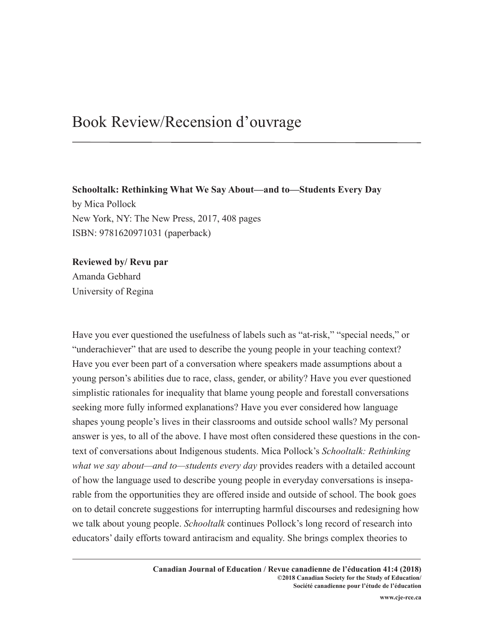## Book Review/Recension d'ouvrage

**Schooltalk: Rethinking What We Say About—and to—Students Every Day**  by Mica Pollock New York, NY: The New Press, 2017, 408 pages ISBN: 9781620971031 (paperback)

**Reviewed by/ Revu par** Amanda Gebhard University of Regina

Have you ever questioned the usefulness of labels such as "at-risk," "special needs," or "underachiever" that are used to describe the young people in your teaching context? Have you ever been part of a conversation where speakers made assumptions about a young person's abilities due to race, class, gender, or ability? Have you ever questioned simplistic rationales for inequality that blame young people and forestall conversations seeking more fully informed explanations? Have you ever considered how language shapes young people's lives in their classrooms and outside school walls? My personal answer is yes, to all of the above. I have most often considered these questions in the context of conversations about Indigenous students. Mica Pollock's *Schooltalk: Rethinking what we say about—and to—students every day* provides readers with a detailed account of how the language used to describe young people in everyday conversations is inseparable from the opportunities they are offered inside and outside of school. The book goes on to detail concrete suggestions for interrupting harmful discourses and redesigning how we talk about young people. *Schooltalk* continues Pollock's long record of research into educators' daily efforts toward antiracism and equality. She brings complex theories to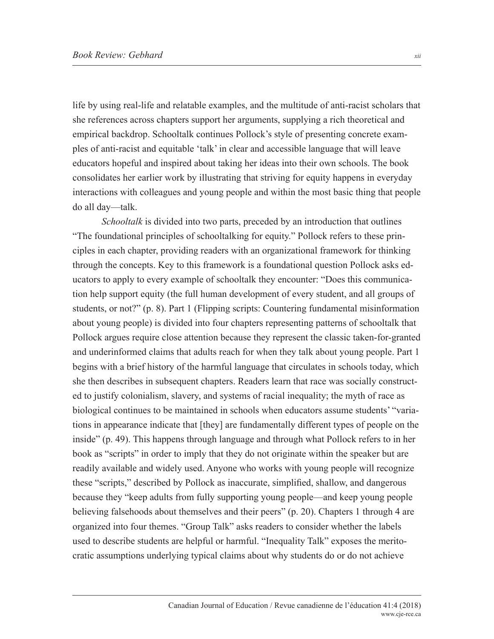life by using real-life and relatable examples, and the multitude of anti-racist scholars that she references across chapters support her arguments, supplying a rich theoretical and empirical backdrop. Schooltalk continues Pollock's style of presenting concrete examples of anti-racist and equitable 'talk' in clear and accessible language that will leave educators hopeful and inspired about taking her ideas into their own schools. The book consolidates her earlier work by illustrating that striving for equity happens in everyday interactions with colleagues and young people and within the most basic thing that people do all day—talk.

*Schooltalk* is divided into two parts, preceded by an introduction that outlines "The foundational principles of schooltalking for equity." Pollock refers to these principles in each chapter, providing readers with an organizational framework for thinking through the concepts. Key to this framework is a foundational question Pollock asks educators to apply to every example of schooltalk they encounter: "Does this communication help support equity (the full human development of every student, and all groups of students, or not?" (p. 8). Part 1 (Flipping scripts: Countering fundamental misinformation about young people) is divided into four chapters representing patterns of schooltalk that Pollock argues require close attention because they represent the classic taken-for-granted and underinformed claims that adults reach for when they talk about young people. Part 1 begins with a brief history of the harmful language that circulates in schools today, which she then describes in subsequent chapters. Readers learn that race was socially constructed to justify colonialism, slavery, and systems of racial inequality; the myth of race as biological continues to be maintained in schools when educators assume students' "variations in appearance indicate that [they] are fundamentally different types of people on the inside" (p. 49). This happens through language and through what Pollock refers to in her book as "scripts" in order to imply that they do not originate within the speaker but are readily available and widely used. Anyone who works with young people will recognize these "scripts," described by Pollock as inaccurate, simplified, shallow, and dangerous because they "keep adults from fully supporting young people—and keep young people believing falsehoods about themselves and their peers" (p. 20). Chapters 1 through 4 are organized into four themes. "Group Talk" asks readers to consider whether the labels used to describe students are helpful or harmful. "Inequality Talk" exposes the meritocratic assumptions underlying typical claims about why students do or do not achieve

> Canadian Journal of Education / Revue canadienne de l'éducation 41:4 (2018) www.cje-rce.ca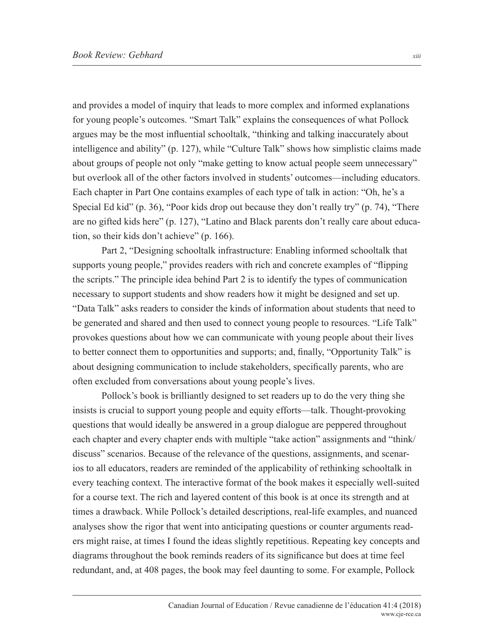and provides a model of inquiry that leads to more complex and informed explanations for young people's outcomes. "Smart Talk" explains the consequences of what Pollock argues may be the most influential schooltalk, "thinking and talking inaccurately about intelligence and ability" (p. 127), while "Culture Talk" shows how simplistic claims made about groups of people not only "make getting to know actual people seem unnecessary" but overlook all of the other factors involved in students' outcomes—including educators. Each chapter in Part One contains examples of each type of talk in action: "Oh, he's a Special Ed kid" (p. 36), "Poor kids drop out because they don't really try" (p. 74), "There are no gifted kids here" (p. 127), "Latino and Black parents don't really care about education, so their kids don't achieve" (p. 166).

Part 2, "Designing schooltalk infrastructure: Enabling informed schooltalk that supports young people," provides readers with rich and concrete examples of "flipping the scripts." The principle idea behind Part 2 is to identify the types of communication necessary to support students and show readers how it might be designed and set up. "Data Talk" asks readers to consider the kinds of information about students that need to be generated and shared and then used to connect young people to resources. "Life Talk" provokes questions about how we can communicate with young people about their lives to better connect them to opportunities and supports; and, finally, "Opportunity Talk" is about designing communication to include stakeholders, specifically parents, who are often excluded from conversations about young people's lives.

Pollock's book is brilliantly designed to set readers up to do the very thing she insists is crucial to support young people and equity efforts—talk. Thought-provoking questions that would ideally be answered in a group dialogue are peppered throughout each chapter and every chapter ends with multiple "take action" assignments and "think/ discuss" scenarios. Because of the relevance of the questions, assignments, and scenarios to all educators, readers are reminded of the applicability of rethinking schooltalk in every teaching context. The interactive format of the book makes it especially well-suited for a course text. The rich and layered content of this book is at once its strength and at times a drawback. While Pollock's detailed descriptions, real-life examples, and nuanced analyses show the rigor that went into anticipating questions or counter arguments readers might raise, at times I found the ideas slightly repetitious. Repeating key concepts and diagrams throughout the book reminds readers of its significance but does at time feel redundant, and, at 408 pages, the book may feel daunting to some. For example, Pollock